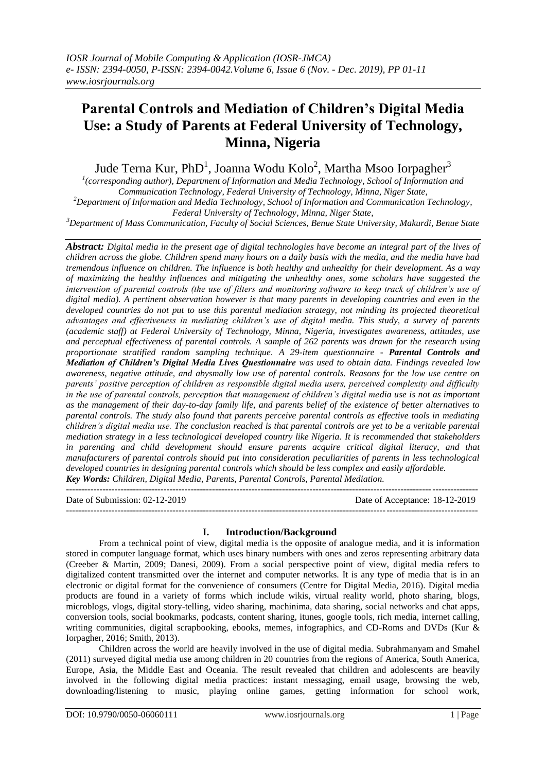# **Parental Controls and Mediation of Children's Digital Media Use: a Study of Parents at Federal University of Technology, Minna, Nigeria**

Jude Terna Kur, PhD $^{\rm l}$ , Joanna Wodu Kolo $^{\rm 2}$ , Martha Msoo Iorpagher $^{\rm 3}$ 

<sup>1</sup> (corresponding author), Department of Information and Media Technology, School of Information and *Communication Technology, Federal University of Technology, Minna, Niger State,*

*<sup>2</sup>Department of Information and Media Technology, School of Information and Communication Technology, Federal University of Technology, Minna, Niger State,*

*<sup>3</sup>Department of Mass Communication, Faculty of Social Sciences, Benue State University, Makurdi, Benue State*

*Abstract: Digital media in the present age of digital technologies have become an integral part of the lives of children across the globe. Children spend many hours on a daily basis with the media, and the media have had tremendous influence on children. The influence is both healthy and unhealthy for their development. As a way of maximizing the healthy influences and mitigating the unhealthy ones, some scholars have suggested the*  intervention of parental controls (the use of filters and monitoring software to keep track of children's use of *digital media). A pertinent observation however is that many parents in developing countries and even in the*  developed countries do not put to use this parental mediation strategy, not minding its projected theoretical *advantages and effectiveness in mediating children's use of digital media. This study, a survey of parents (academic staff) at Federal University of Technology, Minna, Nigeria, investigates awareness, attitudes, use and perceptual effectiveness of parental controls. A sample of 262 parents was drawn for the research using proportionate stratified random sampling technique. A 29-item questionnaire - Parental Controls and Mediation of Children's Digital Media Lives Questionnaire was used to obtain data. Findings revealed low awareness, negative attitude, and abysmally low use of parental controls. Reasons for the low use centre on parents' positive perception of children as responsible digital media users, perceived complexity and difficulty in the use of parental controls, perception that management of children's digital media use is not as important as the management of their day-to-day family life, and parents belief of the existence of better alternatives to parental controls. The study also found that parents perceive parental controls as effective tools in mediating children's digital media use. The conclusion reached is that parental controls are yet to be a veritable parental mediation strategy in a less technological developed country like Nigeria. It is recommended that stakeholders in parenting and child development should ensure parents acquire critical digital literacy, and that manufacturers of parental controls should put into consideration peculiarities of parents in less technological developed countries in designing parental controls which should be less complex and easily affordable. Key Words: Children, Digital Media, Parents, Parental Controls, Parental Mediation.*

--------------------------------------------------------------------------------------------------------------------------------------- Date of Submission: 02-12-2019 Date of Acceptance: 18-12-2019 ---------------------------------------------------------------------------------------------------------------------------------------

## **I. Introduction/Background**

From a technical point of view, digital media is the opposite of analogue media, and it is information stored in computer language format, which uses binary numbers with ones and zeros representing arbitrary data (Creeber & Martin, 2009; Danesi, 2009). From a social perspective point of view, digital media refers to digitalized content transmitted over the internet and computer networks. It is any type of media that is in an electronic or digital format for the convenience of consumers (Centre for Digital Media, 2016). Digital media products are found in a variety of forms which include wikis, virtual reality world, photo sharing, blogs, microblogs, vlogs, digital story-telling, video sharing, machinima, data sharing, social networks and chat apps, conversion tools, social bookmarks, podcasts, content sharing, itunes, google tools, rich media, internet calling, writing communities, digital scrapbooking, ebooks, memes, infographics, and CD-Roms and DVDs (Kur & Iorpagher, 2016; Smith, 2013).

Children across the world are heavily involved in the use of digital media. Subrahmanyam and Smahel (2011) surveyed digital media use among children in 20 countries from the regions of America, South America, Europe, Asia, the Middle East and Oceania. The result revealed that children and adolescents are heavily involved in the following digital media practices: instant messaging, email usage, browsing the web, downloading/listening to music, playing online games, getting information for school work,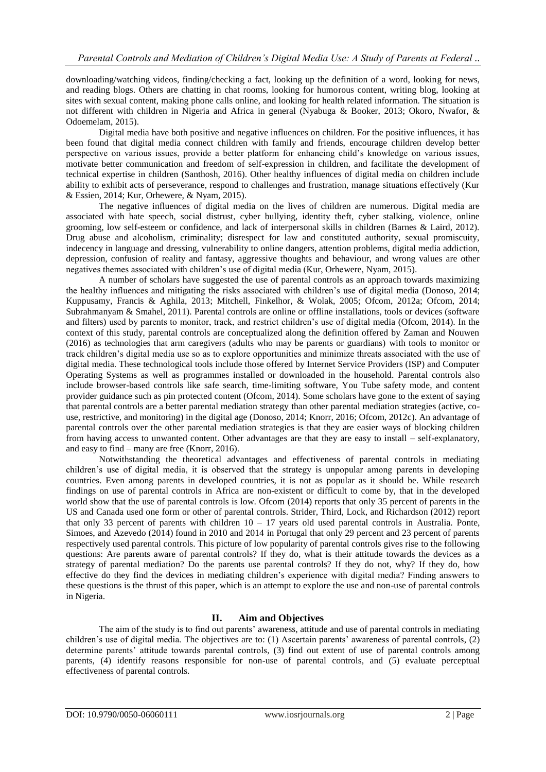downloading/watching videos, finding/checking a fact, looking up the definition of a word, looking for news, and reading blogs. Others are chatting in chat rooms, looking for humorous content, writing blog, looking at sites with sexual content, making phone calls online, and looking for health related information. The situation is not different with children in Nigeria and Africa in general (Nyabuga & Booker, 2013; Okoro, Nwafor, & Odoemelam, 2015).

Digital media have both positive and negative influences on children. For the positive influences, it has been found that digital media connect children with family and friends, encourage children develop better perspective on various issues, provide a better platform for enhancing child's knowledge on various issues, motivate better communication and freedom of self-expression in children, and facilitate the development of technical expertise in children (Santhosh, 2016). Other healthy influences of digital media on children include ability to exhibit acts of perseverance, respond to challenges and frustration, manage situations effectively (Kur & Essien, 2014; Kur, Orhewere, & Nyam, 2015).

The negative influences of digital media on the lives of children are numerous. Digital media are associated with hate speech, social distrust, cyber bullying, identity theft, cyber stalking, violence, online grooming, low self-esteem or confidence, and lack of interpersonal skills in children (Barnes & Laird, 2012). Drug abuse and alcoholism, criminality; disrespect for law and constituted authority, sexual promiscuity, indecency in language and dressing, vulnerability to online dangers, attention problems, digital media addiction, depression, confusion of reality and fantasy, aggressive thoughts and behaviour, and wrong values are other negatives themes associated with children's use of digital media (Kur, Orhewere, Nyam, 2015).

A number of scholars have suggested the use of parental controls as an approach towards maximizing the healthy influences and mitigating the risks associated with children's use of digital media (Donoso, 2014; Kuppusamy, Francis & Aghila, 2013; Mitchell, Finkelhor, & Wolak, 2005; Ofcom, 2012a; Ofcom, 2014; Subrahmanyam & Smahel, 2011). Parental controls are online or offline installations, tools or devices (software and filters) used by parents to monitor, track, and restrict children's use of digital media (Ofcom, 2014). In the context of this study, parental controls are conceptualized along the definition offered by Zaman and Nouwen (2016) as technologies that arm caregivers (adults who may be parents or guardians) with tools to monitor or track children's digital media use so as to explore opportunities and minimize threats associated with the use of digital media. These technological tools include those offered by Internet Service Providers (ISP) and Computer Operating Systems as well as programmes installed or downloaded in the household. Parental controls also include browser-based controls like safe search, time-limiting software, You Tube safety mode, and content provider guidance such as pin protected content (Ofcom, 2014). Some scholars have gone to the extent of saying that parental controls are a better parental mediation strategy than other parental mediation strategies (active, couse, restrictive, and monitoring) in the digital age (Donoso, 2014; Knorr, 2016; Ofcom, 2012c). An advantage of parental controls over the other parental mediation strategies is that they are easier ways of blocking children from having access to unwanted content. Other advantages are that they are easy to install – self-explanatory, and easy to find – many are free (Knorr, 2016).

Notwithstanding the theoretical advantages and effectiveness of parental controls in mediating children's use of digital media, it is observed that the strategy is unpopular among parents in developing countries. Even among parents in developed countries, it is not as popular as it should be. While research findings on use of parental controls in Africa are non-existent or difficult to come by, that in the developed world show that the use of parental controls is low. Ofcom (2014) reports that only 35 percent of parents in the US and Canada used one form or other of parental controls. Strider, Third, Lock, and Richardson (2012) report that only 33 percent of parents with children  $10 - 17$  years old used parental controls in Australia. Ponte, Simoes, and Azevedo (2014) found in 2010 and 2014 in Portugal that only 29 percent and 23 percent of parents respectively used parental controls. This picture of low popularity of parental controls gives rise to the following questions: Are parents aware of parental controls? If they do, what is their attitude towards the devices as a strategy of parental mediation? Do the parents use parental controls? If they do not, why? If they do, how effective do they find the devices in mediating children's experience with digital media? Finding answers to these questions is the thrust of this paper, which is an attempt to explore the use and non-use of parental controls in Nigeria.

# **II. Aim and Objectives**

The aim of the study is to find out parents' awareness, attitude and use of parental controls in mediating children's use of digital media. The objectives are to: (1) Ascertain parents' awareness of parental controls, (2) determine parents' attitude towards parental controls, (3) find out extent of use of parental controls among parents, (4) identify reasons responsible for non-use of parental controls, and (5) evaluate perceptual effectiveness of parental controls.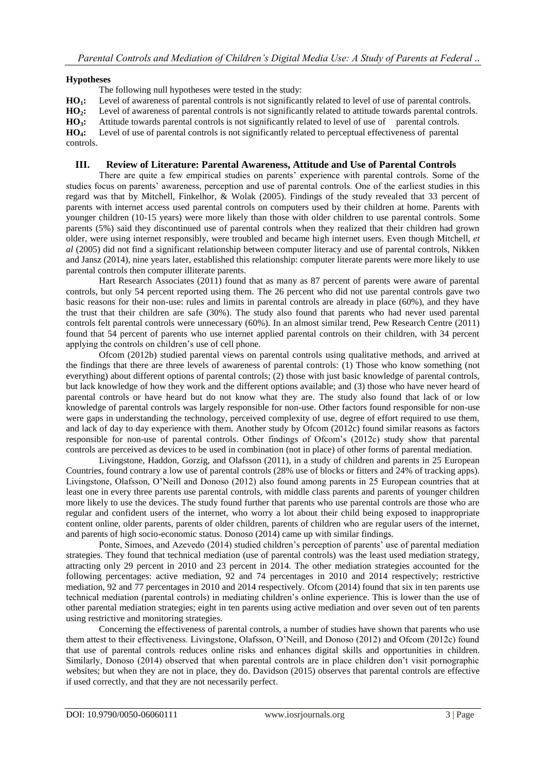#### **Hypotheses**

The following null hypotheses were tested in the study:

**HO1:** Level of awareness of parental controls is not significantly related to level of use of parental controls.

**HO2:** Level of awareness of parental controls is not significantly related to attitude towards parental controls.

**HO3:** Attitude towards parental controls is not significantly related to level of use of parental controls.

**HO4:** Level of use of parental controls is not significantly related to perceptual effectiveness of parental controls.

#### **III. Review of Literature: Parental Awareness, Attitude and Use of Parental Controls**

There are quite a few empirical studies on parents' experience with parental controls. Some of the studies focus on parents' awareness, perception and use of parental controls. One of the earliest studies in this regard was that by Mitchell, Finkelhor, & Wolak (2005). Findings of the study revealed that 33 percent of parents with internet access used parental controls on computers used by their children at home. Parents with younger children (10-15 years) were more likely than those with older children to use parental controls. Some parents (5%) said they discontinued use of parental controls when they realized that their children had grown older, were using internet responsibly, were troubled and became high internet users. Even though Mitchell, *et al* (2005) did not find a significant relationship between computer literacy and use of parental controls, Nikken and Jansz (2014), nine years later, established this relationship: computer literate parents were more likely to use parental controls then computer illiterate parents.

Hart Research Associates (2011) found that as many as 87 percent of parents were aware of parental controls, but only 54 percent reported using them. The 26 percent who did not use parental controls gave two basic reasons for their non-use: rules and limits in parental controls are already in place (60%), and they have the trust that their children are safe (30%). The study also found that parents who had never used parental controls felt parental controls were unnecessary (60%). In an almost similar trend, Pew Research Centre (2011) found that 54 percent of parents who use internet applied parental controls on their children, with 34 percent applying the controls on children's use of cell phone.

Ofcom (2012b) studied parental views on parental controls using qualitative methods, and arrived at the findings that there are three levels of awareness of parental controls: (1) Those who know something (not everything) about different options of parental controls; (2) those with just basic knowledge of parental controls, but lack knowledge of how they work and the different options available; and (3) those who have never heard of parental controls or have heard but do not know what they are. The study also found that lack of or low knowledge of parental controls was largely responsible for non-use. Other factors found responsible for non-use were gaps in understanding the technology, perceived complexity of use, degree of effort required to use them, and lack of day to day experience with them. Another study by Ofcom (2012c) found similar reasons as factors responsible for non-use of parental controls. Other findings of Ofcom's (2012c) study show that parental controls are perceived as devices to be used in combination (not in place) of other forms of parental mediation.

Livingstone, Haddon, Gorzig, and Olafsson (2011), in a study of children and parents in 25 European Countries, found contrary a low use of parental controls (28% use of blocks or fitters and 24% of tracking apps). Livingstone, Olafsson, O'Neill and Donoso (2012) also found among parents in 25 European countries that at least one in every three parents use parental controls, with middle class parents and parents of younger children more likely to use the devices. The study found further that parents who use parental controls are those who are regular and confident users of the internet, who worry a lot about their child being exposed to inappropriate content online, older parents, parents of older children, parents of children who are regular users of the internet, and parents of high socio-economic status. Donoso (2014) came up with similar findings.

Ponte, Simoes, and Azevedo (2014) studied children's perception of parents' use of parental mediation strategies. They found that technical mediation (use of parental controls) was the least used mediation strategy, attracting only 29 percent in 2010 and 23 percent in 2014. The other mediation strategies accounted for the following percentages: active mediation, 92 and 74 percentages in 2010 and 2014 respectively; restrictive mediation, 92 and 77 percentages in 2010 and 2014 respectively. Ofcom (2014) found that six in ten parents use technical mediation (parental controls) in mediating children's online experience. This is lower than the use of other parental mediation strategies; eight in ten parents using active mediation and over seven out of ten parents using restrictive and monitoring strategies.

Concerning the effectiveness of parental controls, a number of studies have shown that parents who use them attest to their effectiveness. Livingstone, Olafsson, O'Neill, and Donoso (2012) and Ofcom (2012c) found that use of parental controls reduces online risks and enhances digital skills and opportunities in children. Similarly, Donoso (2014) observed that when parental controls are in place children don't visit pornographic websites; but when they are not in place, they do. Davidson (2015) observes that parental controls are effective if used correctly, and that they are not necessarily perfect.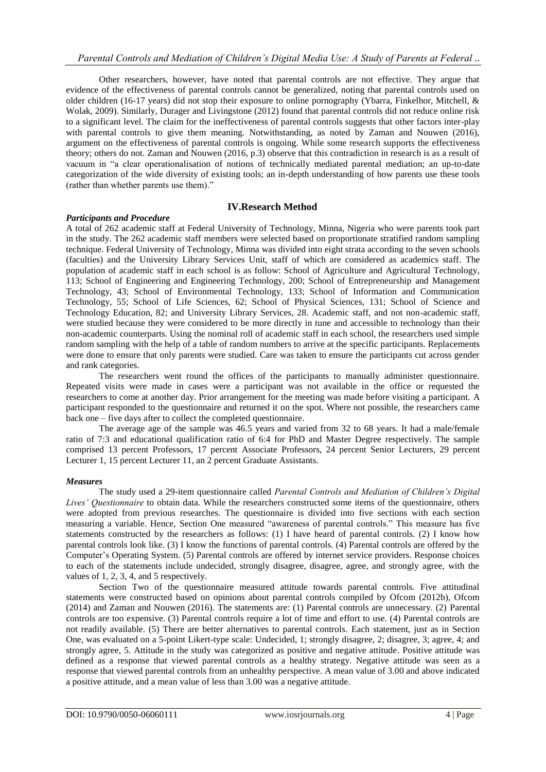Other researchers, however, have noted that parental controls are not effective. They argue that evidence of the effectiveness of parental controls cannot be generalized, noting that parental controls used on older children (16-17 years) did not stop their exposure to online pornography (Ybarra, Finkelhor, Mitchell, & Wolak, 2009). Similarly, Durager and Livingstone (2012) found that parental controls did not reduce online risk to a significant level. The claim for the ineffectiveness of parental controls suggests that other factors inter-play with parental controls to give them meaning. Notwithstanding, as noted by Zaman and Nouwen (2016), argument on the effectiveness of parental controls is ongoing. While some research supports the effectiveness theory; others do not. Zaman and Nouwen (2016, p.3) observe that this contradiction in research is as a result of vacuum in "a clear operationalisation of notions of technically mediated parental mediation; an up-to-date categorization of the wide diversity of existing tools; an in-depth understanding of how parents use these tools (rather than whether parents use them)."

## **IV.Research Method**

#### *Participants and Procedure*

A total of 262 academic staff at Federal University of Technology, Minna, Nigeria who were parents took part in the study. The 262 academic staff members were selected based on proportionate stratified random sampling technique. Federal University of Technology, Minna was divided into eight strata according to the seven schools (faculties) and the University Library Services Unit, staff of which are considered as academics staff. The population of academic staff in each school is as follow: School of Agriculture and Agricultural Technology, 113; School of Engineering and Engineering Technology, 200; School of Entrepreneurship and Management Technology, 43; School of Environmental Technology, 133; School of Information and Communication Technology, 55; School of Life Sciences, 62; School of Physical Sciences, 131; School of Science and Technology Education, 82; and University Library Services, 28. Academic staff, and not non-academic staff, were studied because they were considered to be more directly in tune and accessible to technology than their non-academic counterparts. Using the nominal roll of academic staff in each school, the researchers used simple random sampling with the help of a table of random numbers to arrive at the specific participants. Replacements were done to ensure that only parents were studied. Care was taken to ensure the participants cut across gender and rank categories.

The researchers went round the offices of the participants to manually administer questionnaire. Repeated visits were made in cases were a participant was not available in the office or requested the researchers to come at another day. Prior arrangement for the meeting was made before visiting a participant. A participant responded to the questionnaire and returned it on the spot. Where not possible, the researchers came back one – five days after to collect the completed questionnaire.

The average age of the sample was 46.5 years and varied from 32 to 68 years. It had a male/female ratio of 7:3 and educational qualification ratio of 6:4 for PhD and Master Degree respectively. The sample comprised 13 percent Professors, 17 percent Associate Professors, 24 percent Senior Lecturers, 29 percent Lecturer 1, 15 percent Lecturer 11, an 2 percent Graduate Assistants.

#### *Measures*

The study used a 29-item questionnaire called *Parental Controls and Mediation of Children's Digital Lives' Questionnaire* to obtain data. While the researchers constructed some items of the questionnaire, others were adopted from previous researches. The questionnaire is divided into five sections with each section measuring a variable. Hence, Section One measured "awareness of parental controls." This measure has five statements constructed by the researchers as follows: (1) I have heard of parental controls. (2) I know how parental controls look like. (3) I know the functions of parental controls. (4) Parental controls are offered by the Computer's Operating System. (5) Parental controls are offered by internet service providers. Response choices to each of the statements include undecided, strongly disagree, disagree, agree, and strongly agree, with the values of 1, 2, 3, 4, and 5 respectively.

Section Two of the questionnaire measured attitude towards parental controls. Five attitudinal statements were constructed based on opinions about parental controls compiled by Ofcom (2012b), Ofcom (2014) and Zaman and Nouwen (2016). The statements are: (1) Parental controls are unnecessary. (2) Parental controls are too expensive. (3) Parental controls require a lot of time and effort to use. (4) Parental controls are not readily available. (5) There are better alternatives to parental controls. Each statement, just as in Section One, was evaluated on a 5-point Likert-type scale: Undecided, 1; strongly disagree, 2; disagree, 3; agree, 4; and strongly agree, 5. Attitude in the study was categorized as positive and negative attitude. Positive attitude was defined as a response that viewed parental controls as a healthy strategy. Negative attitude was seen as a response that viewed parental controls from an unhealthy perspective. A mean value of 3.00 and above indicated a positive attitude, and a mean value of less than 3.00 was a negative attitude.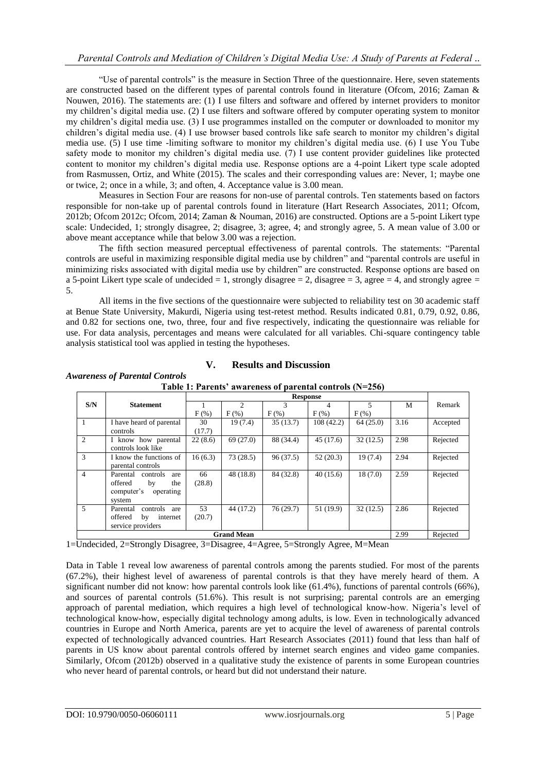"Use of parental controls" is the measure in Section Three of the questionnaire. Here, seven statements are constructed based on the different types of parental controls found in literature (Ofcom, 2016; Zaman & Nouwen, 2016). The statements are: (1) I use filters and software and offered by internet providers to monitor my children's digital media use. (2) I use filters and software offered by computer operating system to monitor my children's digital media use. (3) I use programmes installed on the computer or downloaded to monitor my children's digital media use. (4) I use browser based controls like safe search to monitor my children's digital media use. (5) I use time -limiting software to monitor my children's digital media use. (6) I use You Tube safety mode to monitor my children's digital media use. (7) I use content provider guidelines like protected content to monitor my children's digital media use. Response options are a 4-point Likert type scale adopted from Rasmussen, Ortiz, and White (2015). The scales and their corresponding values are: Never, 1; maybe one or twice, 2; once in a while, 3; and often, 4. Acceptance value is 3.00 mean.

Measures in Section Four are reasons for non-use of parental controls. Ten statements based on factors responsible for non-take up of parental controls found in literature (Hart Research Associates, 2011; Ofcom, 2012b; Ofcom 2012c; Ofcom, 2014; Zaman & Nouman, 2016) are constructed. Options are a 5-point Likert type scale: Undecided, 1; strongly disagree, 2; disagree, 3; agree, 4; and strongly agree, 5. A mean value of 3.00 or above meant acceptance while that below 3.00 was a rejection.

The fifth section measured perceptual effectiveness of parental controls. The statements: "Parental controls are useful in maximizing responsible digital media use by children" and "parental controls are useful in minimizing risks associated with digital media use by children" are constructed. Response options are based on a 5-point Likert type scale of undecided  $= 1$ , strongly disagree  $= 2$ , disagree  $= 3$ , agree  $= 4$ , and strongly agree  $= 1$ 5.

All items in the five sections of the questionnaire were subjected to reliability test on 30 academic staff at Benue State University, Makurdi, Nigeria using test-retest method. Results indicated 0.81, 0.79, 0.92, 0.86, and 0.82 for sections one, two, three, four and five respectively, indicating the questionnaire was reliable for use. For data analysis, percentages and means were calculated for all variables. Chi-square contingency table analysis statistical tool was applied in testing the hypotheses.

## **V. Results and Discussion**

**Table 1: Parents' awareness of parental controls (N=256)**

|                |                             |         |                   | <b>Response</b> |           |            |      |          |
|----------------|-----------------------------|---------|-------------------|-----------------|-----------|------------|------|----------|
| S/N            | <b>Statement</b>            |         | $\mathfrak{D}$    | 3               | 4         | 5          | M    | Remark   |
|                |                             | $F(\%)$ | $F(\%)$           | $F$ (%)         | $F$ (%)   | $F$ $(\%)$ |      |          |
|                | I have heard of parental    | 30      | 19(7.4)           | 35(13.7)        | 108(42.2) | 64(25.0)   | 3.16 | Accepted |
|                | controls                    | (17.7)  |                   |                 |           |            |      |          |
| 2              | I know how parental         | 22(8.6) | 69(27.0)          | 88 (34.4)       | 45(17.6)  | 32(12.5)   | 2.98 | Rejected |
|                | controls look like          |         |                   |                 |           |            |      |          |
| 3              | I know the functions of     | 16(6.3) | 73(28.5)          | 96(37.5)        | 52(20.3)  | 19(7.4)    | 2.94 | Rejected |
|                | parental controls           |         |                   |                 |           |            |      |          |
| $\overline{4}$ | Parental<br>controls<br>are | 66      | 48 (18.8)         | 84 (32.8)       | 40(15.6)  | 18(7.0)    | 2.59 | Rejected |
|                | offered<br>by<br>the        | (28.8)  |                   |                 |           |            |      |          |
|                | computer's<br>operating     |         |                   |                 |           |            |      |          |
|                | system                      |         |                   |                 |           |            |      |          |
| 5.             | Parental<br>controls<br>are | 53      | 44 (17.2)         | 76(29.7)        | 51 (19.9) | 32(12.5)   | 2.86 | Rejected |
|                | offered<br>by<br>internet   | (20.7)  |                   |                 |           |            |      |          |
|                | service providers           |         |                   |                 |           |            |      |          |
|                |                             |         | <b>Grand Mean</b> |                 |           |            | 2.99 | Rejected |

1=Undecided, 2=Strongly Disagree, 3=Disagree, 4=Agree, 5=Strongly Agree, M=Mean

Data in Table 1 reveal low awareness of parental controls among the parents studied. For most of the parents (67.2%), their highest level of awareness of parental controls is that they have merely heard of them. A significant number did not know: how parental controls look like (61.4%), functions of parental controls (66%), and sources of parental controls (51.6%). This result is not surprising; parental controls are an emerging approach of parental mediation, which requires a high level of technological know-how. Nigeria's level of technological know-how, especially digital technology among adults, is low. Even in technologically advanced countries in Europe and North America, parents are yet to acquire the level of awareness of parental controls expected of technologically advanced countries. Hart Research Associates (2011) found that less than half of parents in US know about parental controls offered by internet search engines and video game companies. Similarly, Ofcom (2012b) observed in a qualitative study the existence of parents in some European countries who never heard of parental controls, or heard but did not understand their nature.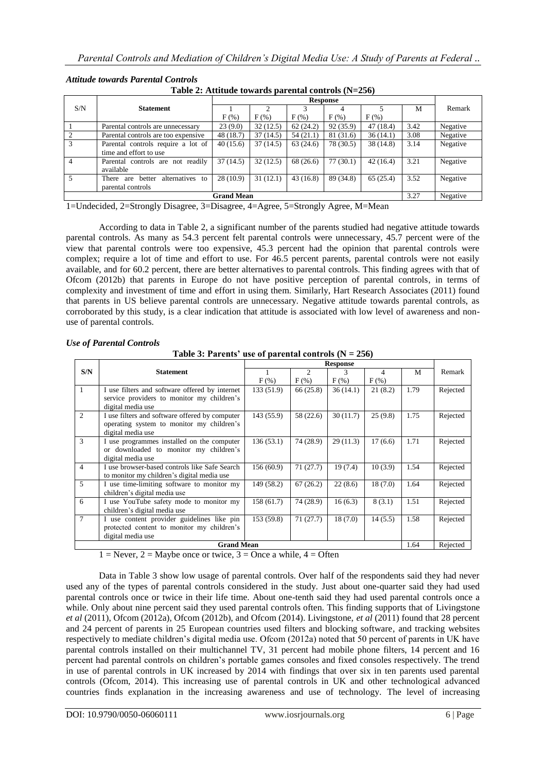| Table 2: Attitude towards parental controls (19=250) |                                              |                   |          |          |                 |           |      |          |  |  |  |  |
|------------------------------------------------------|----------------------------------------------|-------------------|----------|----------|-----------------|-----------|------|----------|--|--|--|--|
|                                                      |                                              |                   |          |          | <b>Response</b> |           |      |          |  |  |  |  |
| S/N                                                  | <b>Statement</b>                             |                   |          |          |                 |           | M    | Remark   |  |  |  |  |
|                                                      |                                              | $F(\%)$           | $F(\%)$  | F(% )    | $F(\%)$         | $F(\%)$   |      |          |  |  |  |  |
|                                                      | Parental controls are unnecessary            | 23(9.0)           | 32(12.5) | 62(24.2) | 92 (35.9)       | 47 (18.4) | 3.42 | Negative |  |  |  |  |
|                                                      | Parental controls are too expensive          | 48 (18.7)         | 37(14.5) | 54(21.1) | 81 (31.6)       | 36(14.1)  | 3.08 | Negative |  |  |  |  |
|                                                      | Parental controls require a lot of           | 40(15.6)          | 37(14.5) | 63(24.6) | 78 (30.5)       | 38 (14.8) | 3.14 | Negative |  |  |  |  |
|                                                      | time and effort to use                       |                   |          |          |                 |           |      |          |  |  |  |  |
| 4                                                    | Parental controls are not readily            | 37(14.5)          | 32(12.5) | 68(26.6) | 77(30.1)        | 42(16.4)  | 3.21 | Negative |  |  |  |  |
|                                                      | available                                    |                   |          |          |                 |           |      |          |  |  |  |  |
| 5                                                    | alternatives<br>better<br>There<br>to<br>are | 28(10.9)          | 31(12.1) | 43(16.8) | 89 (34.8)       | 65(25.4)  | 3.52 | Negative |  |  |  |  |
|                                                      | parental controls                            |                   |          |          |                 |           |      |          |  |  |  |  |
|                                                      |                                              | <b>Grand Mean</b> |          |          |                 |           | 3.27 | Negative |  |  |  |  |

## *Attitude towards Parental Controls*

**Table 2: Attitude towards parental controls (N=256)**

1=Undecided, 2=Strongly Disagree, 3=Disagree, 4=Agree, 5=Strongly Agree, M=Mean

According to data in Table 2, a significant number of the parents studied had negative attitude towards parental controls. As many as 54.3 percent felt parental controls were unnecessary, 45.7 percent were of the view that parental controls were too expensive, 45.3 percent had the opinion that parental controls were complex; require a lot of time and effort to use. For 46.5 percent parents, parental controls were not easily available, and for 60.2 percent, there are better alternatives to parental controls. This finding agrees with that of Ofcom (2012b) that parents in Europe do not have positive perception of parental controls, in terms of complexity and investment of time and effort in using them. Similarly, Hart Research Associates (2011) found that parents in US believe parental controls are unnecessary. Negative attitude towards parental controls, as corroborated by this study, is a clear indication that attitude is associated with low level of awareness and nonuse of parental controls.

|  | <b>Use of Parental Controls</b> |
|--|---------------------------------|
|  |                                 |

|                |                                                |            |                | <b>Response</b> |         |      |          |
|----------------|------------------------------------------------|------------|----------------|-----------------|---------|------|----------|
| S/N            | <b>Statement</b>                               |            | $\mathfrak{D}$ | 3               | 4       | M    | Remark   |
|                |                                                | $F$ (%)    | $F$ (%)        | F(% )           | $F(\%)$ |      |          |
| $\overline{1}$ | I use filters and software offered by internet | 133 (51.9) | 66(25.8)       | 36(14.1)        | 21(8.2) | 1.79 | Rejected |
|                | service providers to monitor my children's     |            |                |                 |         |      |          |
|                | digital media use                              |            |                |                 |         |      |          |
| $\overline{2}$ | I use filters and software offered by computer | 143 (55.9) | 58 (22.6)      | 30(11.7)        | 25(9.8) | 1.75 | Rejected |
|                | operating system to monitor my children's      |            |                |                 |         |      |          |
|                | digital media use                              |            |                |                 |         |      |          |
| $\overline{3}$ | I use programmes installed on the computer     | 136(53.1)  | 74 (28.9)      | 29(11.3)        | 17(6.6) | 1.71 | Rejected |
|                | or downloaded to monitor my children's         |            |                |                 |         |      |          |
|                | digital media use                              |            |                |                 |         |      |          |
| $\overline{4}$ | I use browser-based controls like Safe Search  | 156 (60.9) | 71(27.7)       | 19(7.4)         | 10(3.9) | 1.54 | Rejected |
|                | to monitor my children's digital media use     |            |                |                 |         |      |          |
| $\overline{5}$ | I use time-limiting software to monitor my     | 149 (58.2) | 67(26.2)       | 22(8.6)         | 18(7.0) | 1.64 | Rejected |
|                | children's digital media use                   |            |                |                 |         |      |          |
| 6              | I use YouTube safety mode to monitor my        | 158 (61.7) | 74 (28.9)      | 16(6.3)         | 8(3.1)  | 1.51 | Rejected |
|                | children's digital media use                   |            |                |                 |         |      |          |
| $\overline{7}$ | I use content provider guidelines like pin     | 153 (59.8) | 71(27.7)       | 18(7.0)         | 14(5.5) | 1.58 | Rejected |
|                | protected content to monitor my children's     |            |                |                 |         |      |          |
|                | digital media use                              |            |                |                 |         |      |          |
|                | <b>Grand Mean</b>                              |            |                |                 |         | 1.64 | Rejected |

**Table 3: Parents' use of parental controls**  $(N = 256)$ 

 $1 =$  Never,  $2 =$  Maybe once or twice,  $3 =$  Once a while,  $4 =$  Often

Data in Table 3 show low usage of parental controls. Over half of the respondents said they had never used any of the types of parental controls considered in the study. Just about one-quarter said they had used parental controls once or twice in their life time. About one-tenth said they had used parental controls once a while. Only about nine percent said they used parental controls often. This finding supports that of Livingstone *et al* (2011), Ofcom (2012a), Ofcom (2012b), and Ofcom (2014). Livingstone, *et al* (2011) found that 28 percent and 24 percent of parents in 25 European countries used filters and blocking software, and tracking websites respectively to mediate children's digital media use. Ofcom (2012a) noted that 50 percent of parents in UK have parental controls installed on their multichannel TV, 31 percent had mobile phone filters, 14 percent and 16 percent had parental controls on children's portable games consoles and fixed consoles respectively. The trend in use of parental controls in UK increased by 2014 with findings that over six in ten parents used parental controls (Ofcom, 2014). This increasing use of parental controls in UK and other technological advanced countries finds explanation in the increasing awareness and use of technology. The level of increasing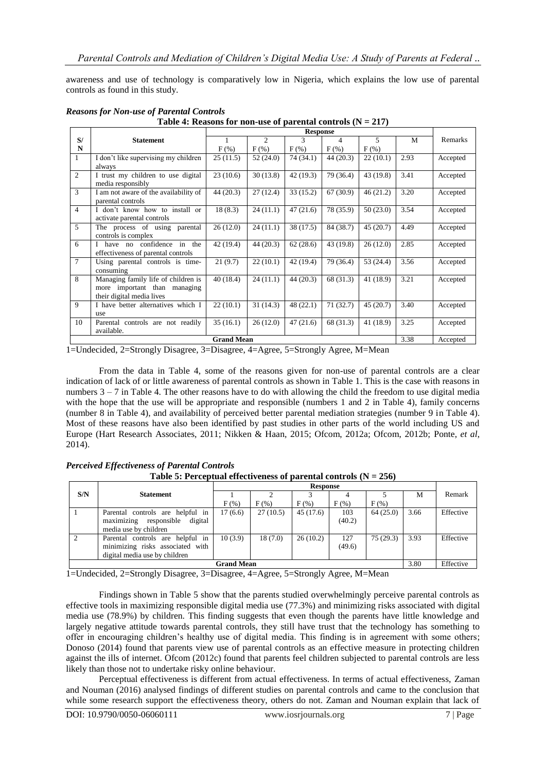awareness and use of technology is comparatively low in Nigeria, which explains the low use of parental controls as found in this study.

|                |                                                                                                  |                   |                | <b>Response</b> |           |                |      |          |
|----------------|--------------------------------------------------------------------------------------------------|-------------------|----------------|-----------------|-----------|----------------|------|----------|
| S/             | <b>Statement</b>                                                                                 |                   | $\mathfrak{D}$ | 3               | 4         | $\overline{5}$ | M    | Remarks  |
| N              |                                                                                                  | $F(\%)$           | $F(\%)$        | $F(\%)$         | $F(\%)$   | F(% )          |      |          |
| $\mathbf{1}$   | I don't like supervising my children<br>always                                                   | 25(11.5)          | 52(24.0)       | 74 (34.1)       | 44(20.3)  | 22(10.1)       | 2.93 | Accepted |
| 2              | I trust my children to use digital<br>media responsibly                                          | 23(10.6)          | 30(13.8)       | 42(19.3)        | 79 (36.4) | 43(19.8)       | 3.41 | Accepted |
| 3              | I am not aware of the availability of<br>parental controls                                       | 44(20.3)          | 27(12.4)       | 33(15.2)        | 67(30.9)  | 46(21.2)       | 3.20 | Accepted |
| $\overline{4}$ | I don't know how to install or<br>activate parental controls                                     | 18(8.3)           | 24(11.1)       | 47(21.6)        | 78 (35.9) | 50(23.0)       | 3.54 | Accepted |
| 5              | The process of using parental<br>controls is complex                                             | 26(12.0)          | 24(11.1)       | 38 (17.5)       | 84 (38.7) | 45(20.7)       | 4.49 | Accepted |
| 6              | I have no confidence in the<br>effectiveness of parental controls                                | 42(19.4)          | 44(20.3)       | 62(28.6)        | 43 (19.8) | 26(12.0)       | 2.85 | Accepted |
| $\overline{7}$ | Using parental controls is time-<br>consuming                                                    | 21(9.7)           | 22(10.1)       | 42 (19.4)       | 79 (36.4) | 53(24.4)       | 3.56 | Accepted |
| $\mathbf{8}$   | Managing family life of children is<br>more important than managing<br>their digital media lives | 40(18.4)          | 24(11.1)       | 44(20.3)        | 68 (31.3) | 41(18.9)       | 3.21 | Accepted |
| 9              | I have better alternatives which I<br>use                                                        | 22(10.1)          | 31(14.3)       | 48(22.1)        | 71(32.7)  | 45(20.7)       | 3.40 | Accepted |
| 10             | Parental controls are not readily<br>available.                                                  | 35(16.1)          | 26(12.0)       | 47(21.6)        | 68 (31.3) | 41(18.9)       | 3.25 | Accepted |
|                |                                                                                                  | <b>Grand Mean</b> |                |                 |           |                | 3.38 | Accepted |

# *Reasons for Non-use of Parental Controls*

**Table 4: Reasons for non-use of parental controls (N = 217)**

1=Undecided, 2=Strongly Disagree, 3=Disagree, 4=Agree, 5=Strongly Agree, M=Mean

From the data in Table 4, some of the reasons given for non-use of parental controls are a clear indication of lack of or little awareness of parental controls as shown in Table 1. This is the case with reasons in numbers  $3 - 7$  in Table 4. The other reasons have to do with allowing the child the freedom to use digital media with the hope that the use will be appropriate and responsible (numbers 1 and 2 in Table 4), family concerns (number 8 in Table 4), and availability of perceived better parental mediation strategies (number 9 in Table 4). Most of these reasons have also been identified by past studies in other parts of the world including US and Europe (Hart Research Associates, 2011; Nikken & Haan, 2015; Ofcom, 2012a; Ofcom, 2012b; Ponte, *et al*, 2014).

# *Perceived Effectiveness of Parental Controls*

**Table 5: Perceptual effectiveness of parental controls (N = 256)**

|     |                                                                                                       |                   |          | <b>Response</b> |               |          |      |           |
|-----|-------------------------------------------------------------------------------------------------------|-------------------|----------|-----------------|---------------|----------|------|-----------|
| S/N | <b>Statement</b>                                                                                      |                   |          |                 |               |          | M    | Remark    |
|     |                                                                                                       | $F(\%)$           | $F(\%)$  | $F(\%)$         | $F(\%)$       | $F(\%)$  |      |           |
|     | Parental controls are helpful in<br>maximizing<br>digital<br>responsible<br>media use by children     | 17(6.6)           | 27(10.5) | 45(17.6)        | 103<br>(40.2) | 64(25.0) | 3.66 | Effective |
|     | Parental controls are helpful in<br>minimizing risks associated with<br>digital media use by children | 10(3.9)           | 18(7.0)  | 26(10.2)        | 127<br>(49.6) | 75(29.3) | 3.93 | Effective |
|     |                                                                                                       | <b>Grand Mean</b> |          |                 |               |          | 3.80 | Effective |

1=Undecided, 2=Strongly Disagree, 3=Disagree, 4=Agree, 5=Strongly Agree, M=Mean

Findings shown in Table 5 show that the parents studied overwhelmingly perceive parental controls as effective tools in maximizing responsible digital media use (77.3%) and minimizing risks associated with digital media use (78.9%) by children. This finding suggests that even though the parents have little knowledge and largely negative attitude towards parental controls, they still have trust that the technology has something to offer in encouraging children's healthy use of digital media. This finding is in agreement with some others; Donoso (2014) found that parents view use of parental controls as an effective measure in protecting children against the ills of internet. Ofcom (2012c) found that parents feel children subjected to parental controls are less likely than those not to undertake risky online behaviour.

Perceptual effectiveness is different from actual effectiveness. In terms of actual effectiveness, Zaman and Nouman (2016) analysed findings of different studies on parental controls and came to the conclusion that while some research support the effectiveness theory, others do not. Zaman and Nouman explain that lack of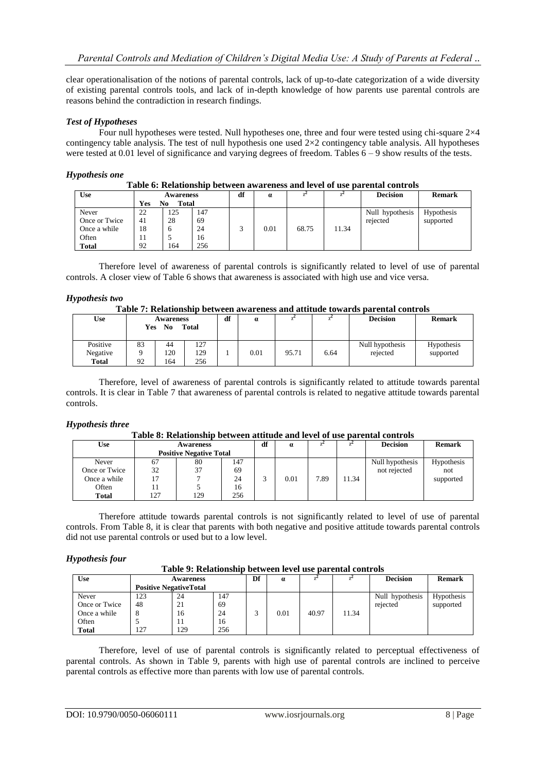clear operationalisation of the notions of parental controls, lack of up-to-date categorization of a wide diversity of existing parental controls tools, and lack of in-depth knowledge of how parents use parental controls are reasons behind the contradiction in research findings.

#### *Test of Hypotheses*

Four null hypotheses were tested. Null hypotheses one, three and four were tested using chi-square 2×4 contingency table analysis. The test of null hypothesis one used  $2\times2$  contingency table analysis. All hypotheses were tested at 0.01 level of significance and varying degrees of freedom. Tables 6 – 9 show results of the tests.

#### *Hypothesis one*

| Table 6: Relationship between awareness and level of use parental controls |
|----------------------------------------------------------------------------|
|                                                                            |

| Use                    | Yes      | Awareness<br><b>Total</b><br>No |           | df | $\alpha$ |       |       | <b>Decision</b>             | <b>Remark</b>           |
|------------------------|----------|---------------------------------|-----------|----|----------|-------|-------|-----------------------------|-------------------------|
| Never<br>Once or Twice | 22<br>41 | 125<br>28                       | 147<br>69 |    |          |       |       | Null hypothesis<br>rejected | Hypothesis<br>supported |
| Once a while           | 18       | h                               | 24        |    | 0.01     | 68.75 | 11.34 |                             |                         |
| Often                  | -14      |                                 | 16        |    |          |       |       |                             |                         |
| <b>Total</b>           | 92       | 164                             | 256       |    |          |       |       |                             |                         |

Therefore level of awareness of parental controls is significantly related to level of use of parental controls. A closer view of Table 6 shows that awareness is associated with high use and vice versa.

#### *Hypothesis two*

#### **Table 7: Relationship between awareness and attitude towards parental controls**

| Use                                  | <b>Awareness</b><br>N <sub>0</sub><br><b>Total</b><br>Yes |                  | df                | $\alpha$ |      |       | <b>Decision</b> | <b>Remark</b>               |                         |
|--------------------------------------|-----------------------------------------------------------|------------------|-------------------|----------|------|-------|-----------------|-----------------------------|-------------------------|
| Positive<br>Negative<br><b>Total</b> | 83<br>92                                                  | 44<br>120<br>164 | 127<br>129<br>256 |          | 0.01 | 95.71 | 6.64            | Null hypothesis<br>rejected | Hypothesis<br>supported |

Therefore, level of awareness of parental controls is significantly related to attitude towards parental controls. It is clear in Table 7 that awareness of parental controls is related to negative attitude towards parental controls.

#### *Hypothesis three*

#### **Table 8: Relationship between attitude and level of use parental controls**

|               |                  |                                |     | df |                  |      |       |                 |               |
|---------------|------------------|--------------------------------|-----|----|------------------|------|-------|-----------------|---------------|
| Use           | <b>Awareness</b> |                                |     |    | $\boldsymbol{a}$ |      |       | <b>Decision</b> | <b>Remark</b> |
|               |                  | <b>Positive Negative Total</b> |     |    |                  |      |       |                 |               |
| Never         | 67               | 80                             | 147 |    |                  |      |       | Null hypothesis | Hypothesis    |
| Once or Twice | 32               | 37                             | 69  |    |                  |      |       | not rejected    | not           |
| Once a while  |                  |                                | 24  |    | 0.01             | 7.89 | 11.34 |                 | supported     |
| Often         |                  |                                | 16  |    |                  |      |       |                 |               |
| Total         | 127              | 129                            | 256 |    |                  |      |       |                 |               |

Therefore attitude towards parental controls is not significantly related to level of use of parental controls. From Table 8, it is clear that parents with both negative and positive attitude towards parental controls did not use parental controls or used but to a low level.

#### *Hypothesis four*

|               | Table 9: Relationship between level use parental controls |                                                   |     |    |          |       |       |                 |               |  |  |  |
|---------------|-----------------------------------------------------------|---------------------------------------------------|-----|----|----------|-------|-------|-----------------|---------------|--|--|--|
| <b>Use</b>    |                                                           | <b>Awareness</b><br><b>Positive NegativeTotal</b> |     | Df | $\alpha$ | $x^-$ |       | <b>Decision</b> | <b>Remark</b> |  |  |  |
| Never         | 123                                                       | 24                                                | 147 |    |          |       |       | Null hypothesis | Hypothesis    |  |  |  |
| Once or Twice | 48                                                        | 21                                                | 69  |    |          |       |       | rejected        | supported     |  |  |  |
| Once a while  | 8                                                         | 16                                                | 24  |    | 0.01     | 40.97 | 11.34 |                 |               |  |  |  |
| Often         |                                                           | 11                                                | 16  |    |          |       |       |                 |               |  |  |  |
| <b>Total</b>  | 127                                                       | 129                                               | 256 |    |          |       |       |                 |               |  |  |  |

Therefore, level of use of parental controls is significantly related to perceptual effectiveness of parental controls. As shown in Table 9, parents with high use of parental controls are inclined to perceive parental controls as effective more than parents with low use of parental controls.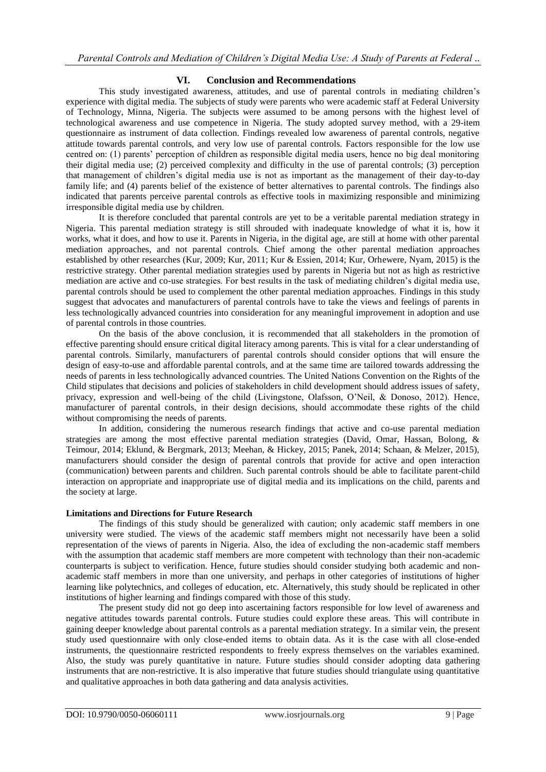## **VI. Conclusion and Recommendations**

This study investigated awareness, attitudes, and use of parental controls in mediating children's experience with digital media. The subjects of study were parents who were academic staff at Federal University of Technology, Minna, Nigeria. The subjects were assumed to be among persons with the highest level of technological awareness and use competence in Nigeria. The study adopted survey method, with a 29-item questionnaire as instrument of data collection. Findings revealed low awareness of parental controls, negative attitude towards parental controls, and very low use of parental controls. Factors responsible for the low use centred on: (1) parents' perception of children as responsible digital media users, hence no big deal monitoring their digital media use; (2) perceived complexity and difficulty in the use of parental controls; (3) perception that management of children's digital media use is not as important as the management of their day-to-day family life; and (4) parents belief of the existence of better alternatives to parental controls. The findings also indicated that parents perceive parental controls as effective tools in maximizing responsible and minimizing irresponsible digital media use by children.

It is therefore concluded that parental controls are yet to be a veritable parental mediation strategy in Nigeria. This parental mediation strategy is still shrouded with inadequate knowledge of what it is, how it works, what it does, and how to use it. Parents in Nigeria, in the digital age, are still at home with other parental mediation approaches, and not parental controls. Chief among the other parental mediation approaches established by other researches (Kur, 2009; Kur, 2011; Kur & Essien, 2014; Kur, Orhewere, Nyam, 2015) is the restrictive strategy. Other parental mediation strategies used by parents in Nigeria but not as high as restrictive mediation are active and co-use strategies. For best results in the task of mediating children's digital media use, parental controls should be used to complement the other parental mediation approaches. Findings in this study suggest that advocates and manufacturers of parental controls have to take the views and feelings of parents in less technologically advanced countries into consideration for any meaningful improvement in adoption and use of parental controls in those countries.

On the basis of the above conclusion, it is recommended that all stakeholders in the promotion of effective parenting should ensure critical digital literacy among parents. This is vital for a clear understanding of parental controls. Similarly, manufacturers of parental controls should consider options that will ensure the design of easy-to-use and affordable parental controls, and at the same time are tailored towards addressing the needs of parents in less technologically advanced countries. The United Nations Convention on the Rights of the Child stipulates that decisions and policies of stakeholders in child development should address issues of safety, privacy, expression and well-being of the child (Livingstone, Olafsson, O'Neil, & Donoso, 2012). Hence, manufacturer of parental controls, in their design decisions, should accommodate these rights of the child without compromising the needs of parents.

In addition, considering the numerous research findings that active and co-use parental mediation strategies are among the most effective parental mediation strategies (David, Omar, Hassan, Bolong, & Teimour, 2014; Eklund, & Bergmark, 2013; Meehan, & Hickey, 2015; Panek, 2014; Schaan, & Melzer, 2015), manufacturers should consider the design of parental controls that provide for active and open interaction (communication) between parents and children. Such parental controls should be able to facilitate parent-child interaction on appropriate and inappropriate use of digital media and its implications on the child, parents and the society at large.

## **Limitations and Directions for Future Research**

The findings of this study should be generalized with caution; only academic staff members in one university were studied. The views of the academic staff members might not necessarily have been a solid representation of the views of parents in Nigeria. Also, the idea of excluding the non-academic staff members with the assumption that academic staff members are more competent with technology than their non-academic counterparts is subject to verification. Hence, future studies should consider studying both academic and nonacademic staff members in more than one university, and perhaps in other categories of institutions of higher learning like polytechnics, and colleges of education, etc. Alternatively, this study should be replicated in other institutions of higher learning and findings compared with those of this study.

The present study did not go deep into ascertaining factors responsible for low level of awareness and negative attitudes towards parental controls. Future studies could explore these areas. This will contribute in gaining deeper knowledge about parental controls as a parental mediation strategy. In a similar vein, the present study used questionnaire with only close-ended items to obtain data. As it is the case with all close-ended instruments, the questionnaire restricted respondents to freely express themselves on the variables examined. Also, the study was purely quantitative in nature. Future studies should consider adopting data gathering instruments that are non-restrictive. It is also imperative that future studies should triangulate using quantitative and qualitative approaches in both data gathering and data analysis activities.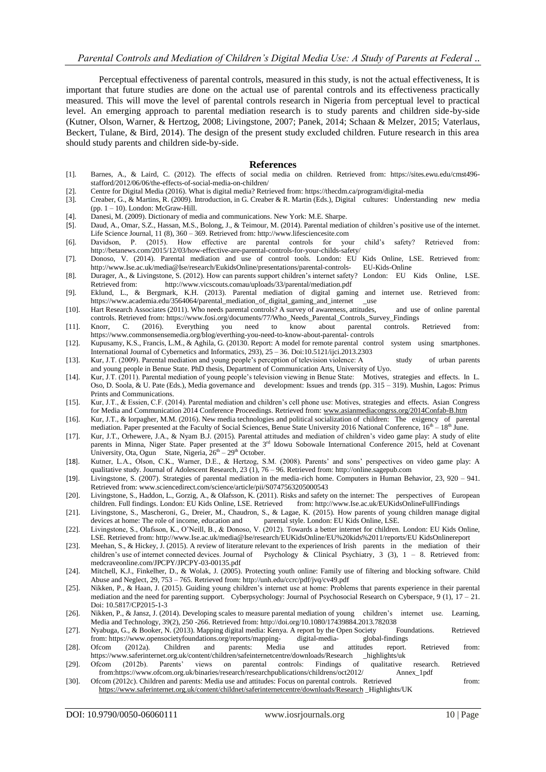Perceptual effectiveness of parental controls, measured in this study, is not the actual effectiveness, It is important that future studies are done on the actual use of parental controls and its effectiveness practically measured. This will move the level of parental controls research in Nigeria from perceptual level to practical level. An emerging approach to parental mediation research is to study parents and children side-by-side (Kutner, Olson, Warner, & Hertzog, 2008; Livingstone, 2007; Panek, 2014; Schaan & Melzer, 2015; Vaterlaus, Beckert, Tulane, & Bird, 2014). The design of the present study excluded children. Future research in this area should study parents and children side-by-side.

#### **References**

- [1]. Barnes, A., & Laird, C. (2012). The effects of social media on children. Retrieved from: [https://sites.ewu.edu/cmst496](https://sites.ewu.edu/cmst496-stafford/2012/06/06/the-effects-of-social-media-on-) [stafford/2012/06/06/the-effects-of-social-media-on-c](https://sites.ewu.edu/cmst496-stafford/2012/06/06/the-effects-of-social-media-on-)hildren/
- [2]. Centre for Digital Media (2016). What is digital media? Retrieved from[: https://thecdm.ca/program/digital-media](https://thecdm.ca/program/digital-media)
- [3]. Creaber, G., & Martins, R. (2009). Introduction, in G. Creaber & R. Martin (Eds.), Digital cultures: Understanding new media  $(pp. 1 - 10)$ . London: McGraw-Hill.
- [4]. Danesi, M. (2009). Dictionary of media and communications. New York: M.E. Sharpe.
- [5]. Daud, A., Omar, S.Z., Hassan, M.S., Bolong, J., & Teimour, M. (2014). Parental mediation of children's positive use of the internet. Life Science Journal, 11 (8), 360 – 369. Retrieved from[: http://www.lifesciencesite.com](http://www.lifesciencesite.com/)
- [6]. Davidson, P. (2015). How effective are parental controls for your child's safety? Retrieved from: [http://betanews.com/2015/12/03/how-effective-are-parental-controls-for-your-childs-s](http://betanews.com/2015/12/03/how-effective-are-parental-controls-for-your-childs-)afety/
- [7]. Donoso, V. (2014). Parental mediation and use of control tools. London: EU Kids Online, LSE. Retrieved from: [http://www.Ise.ac.uk/media@Ise/research/EukidsOnline/presentations/parental-controls-](http://www.ise.ac.uk/media@Ise/research/EukidsOnline/presentations/parental-controls-) EU-Kids-Online
- [8]. Durager, A., & Livingstone, S. (2012). How can parents support children's internet safety? London: EU Kids Online, LSE. Retrieved from: <http://www.vicscouts.comau/uploads/33/parental/mediation.pdf>
- [9]. Eklund, L., & Bergmark, K.H. (2013). Parental mediation of digital gaming and internet use. Retrieved from: [https://www.academia.edu/3564064/parental\\_mediation\\_of\\_digital\\_gaming\\_and\\_internet](https://www.academia.edu/3564064/parental_mediation_of_digital_gaming_and_internet) \_\_use
- [10]. Hart Research Associates (2011). Who needs parental controls? A survey of awareness, attitudes, and use of online parental controls. Retrieved from[: https://www.fosi.org/documents/77/Who\\_Needs\\_Parental\\_](https://www.fosi.org/documents/77/Who_Needs_Parental)Controls\_Survey\_Findings
- [11]. Knorr, C. (2016). Everything you need to know about parental controls. Retrieved from: <https://www.commonsensemedia.org/blog/everthing-you-need-to-know-about-parental-> controls
- [12]. Kupusamy, K.S., Francis, L.M., & Aghila, G. (20130. Report: A model for remote parental control system using smartphones. International Journal of Cybernetics and Informatics, 293), 25 – 36. Doi:10.5121/ijci.2013.2303
- [13]. Kur, J.T. (2009). Parental mediation and young people's perception of television violence: A study of urban parents and young people in Benue State. PhD thesis, Department of Communication Arts, University of Uyo.
- [14]. Kur, J.T. (2011). Parental mediation of young people's television viewing in Benue State: Motives, strategies and effects. In L. Oso, D. Soola, & U. Pate (Eds.), Media governance and development: Issues and trends (pp. 315 – 319). Mushin, Lagos: Primus Prints and Communications.
- [15]. Kur, J.T., & Essien, C.F. (2014). Parental mediation and children's cell phone use: Motives, strategies and effects. Asian Congress for Media and Communication 2014 Conference Proceedings. Retrieved from[: www.asianmediacongrss.org/2014Confab-B.htm](http://www.asianmediacongrss.org/2014Confab-B.htm)
- [16]. Kur, J.T., & Iorpagher, M.M. (2016). New media technologies and political socialization of children: The exigency of parental mediation. Paper presented at the Faculty of Social Sciences, Benue State University 2016 National Conference,  $16<sup>th</sup> - 18<sup>th</sup>$  June.
- [17]. Kur, J.T., Orhewere, J.A., & Nyam B.J. (2015). Parental attitudes and mediation of children's video game play: A study of elite parents in Minna, Niger State. Paper presented at the 3<sup>rd</sup> Idowu Sobowale International Conference 2015, held at Covenant University, Ota, Ogun State, Nigeria,  $26<sup>th</sup> - 29<sup>th</sup>$  October.
- [18]. Kutner, L.A., Olson, C.K., Warner, D.E., & Hertzog, S.M. (2008). Parents' and sons' perspectives on video game play: A qualitative study. Journal of Adolescent Research, 23 (1), 76 – 96. Retrieved from: [http://online.sagepub.com](http://online.sagepub.com/)
- [19]. Livingstone, S. (2007). Strategies of parental mediation in the media-rich home. Computers in Human Behavior, 23, 920 941. Retrieved from: [www.sciencedirect.com/science/article/pii/S0747563205000543](http://www.sciencedirect.com/science/article/pii/S0747563205000543)
- [20]. Livingstone, S., Haddon, L., Gorzig, A., & Olafsson, K. (2011). Risks and safety on the internet: The perspectives of European children. Full findings. London: EU Kids Online, LSE. Retrieved from: [http://www.Ise.ac.uk/EUKidsOnlineFullFindings](http://www.ise.ac.uk/EUKidsOnlineFullFindings)
- [21]. Livingstone, S., Mascheroni, G., Dreier, M., Chaudron, S., & Lagae, K. (2015). How parents of young children manage digital devices at home: The role of income, education and parental style. London: EU Kids Online, LSE.
- [22]. Livingstone, S., Olafsson, K., O'Neill, B., & Donoso, V. (2012). Towards a better internet for children. London: EU Kids Online, LSE. Retrieved from[: http://www.Ise.ac.uk/media@Ise/research/EUKidsOnline/EU%20kids%2011/reports/EU](http://www.ise.ac.uk/media@Ise/research/EUKidsOnline/EU%20kids%2011/reports/EU) KidsOnlinereport
- [23]. Meehan, S., & Hickey, J. (2015). A review of literature relevant to the experiences of Irish parents in the mediation of their children's use of internet connected devices. Journal of Psychology & Clinical Psychiatry, 3 (3), 1 – 8. Retrieved from: medcraveonline.com/JPCPY/JPCPY-03-00135.pdf
- [24]. Mitchell, K.J., Finkelher, D., & Wolak, J. (2005). Protecting youth online: Family use of filtering and blocking software. Child Abuse and Neglect, 29, 753 – 765. Retrieved from[: http://unh.edu/ccrc/pdf/jvq/cv49.pdf](http://unh.edu/ccrc/pdf/jvq/cv49.pdf)
- [25]. Nikken, P., & Haan, J. (2015). Guiding young children's internet use at home: Problems that parents experience in their parental mediation and the need for parenting support. Cyberpsychology: Journal of Psychosocial Research on Cyberspace, 9 (1), 17 – 21. Doi: 10.5817/CP2015-1-3
- [26]. Nikken, P., & Jansz, J. (2014). Developing scales to measure parental mediation of young children's internet use. Learning, Media and Technology, 39(2), 250 -266. Retrieved from[: http://doi.org/10.1080/17439884.2013.782038](http://doi.org/10.1080/17439884.2013.782038)
- [27]. Nyabuga, G., & Booker, N. (2013). Mapping digital media: Kenya. A report by the Open Society Foundations. Retrieved from: [https://www.opensocietyfoundations.org/reports/mapping-](https://www.opensocietyfoundations.org/reports/mapping-%09digital-media-) digital-media- global-findings
- [28]. Ofcom (2012a). Children and parents: Media use and attitudes report. Retrieved from:
- <https://www.saferinternet.org.uk/content/children/safeinternetcentre/downloads/Research> highlights/uk<br>Ofcom (2012b). Parents' views on parental controls: Findings of qualitative [29]. Ofcom (2012b). Parents' views on parental controls: Findings of qualitative research. Retrieved from:https://www.ofcom.org.uk/binaries/research/researchpublications/childrens/oct2012/ Annex\_1pdf
- [30]. Ofcom (2012c). Children and parents: Media use and attitudes: Focus on parental controls. Retrieved from: [https://www.saferinternet.org.uk/content/childnet/saferinternetcentre/downloads/Researc](https://www.saferinternet.org.uk/content/childnet/saferinternetcentre/downloads/Research)h \_Highlights/UK